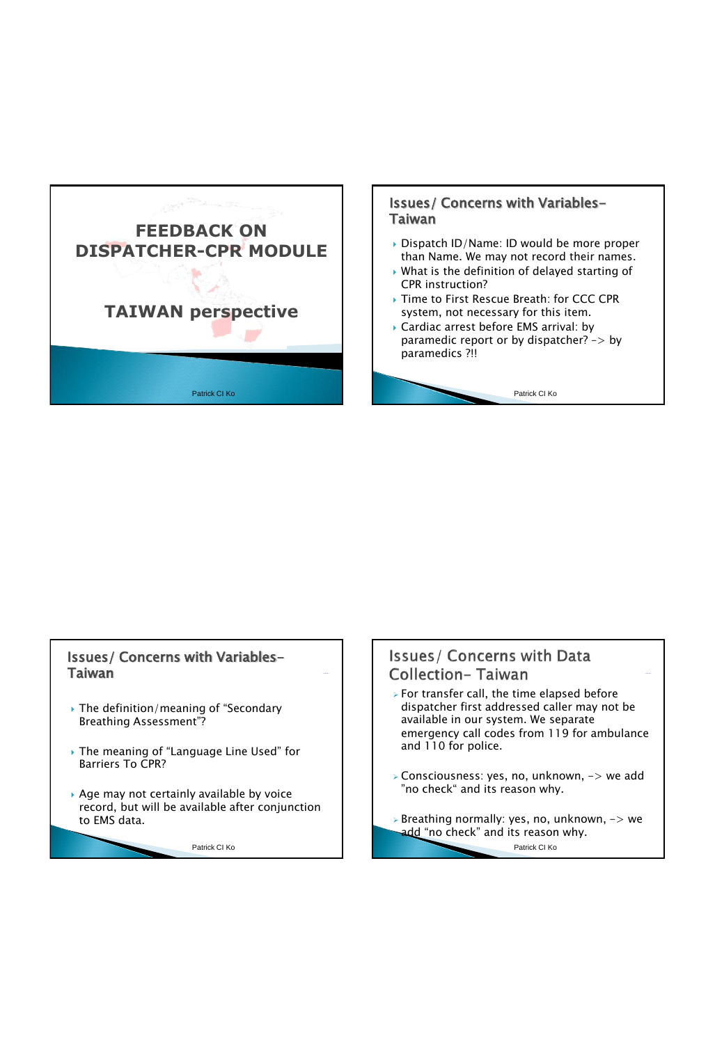

## Issues/ Concerns with Variables-Taiwan

- ▶ Dispatch ID/Name: ID would be more proper than Name. We may not record their names.
- What is the definition of delayed starting of CPR instruction?
- Time to First Rescue Breath: for CCC CPR system, not necessary for this item.
- Cardiac arrest before EMS arrival: by paramedic report or by dispatcher? –> by paramedics ?!!

Patrick CI Ko

## Issues/ Concerns with Variables-Taiwan

- The definition/meaning of "Secondary Breathing Assessment"?
- The meaning of "Language Line Used" for Barriers To CPR?
- Age may not certainly available by voice record, but will be available after conjunction to EMS data.

Patrick CI Ko

**Issues/ Concerns with Data Collection-Taiwan** 

- $\triangleright$  For transfer call, the time elapsed before dispatcher first addressed caller may not be available in our system. We separate emergency call codes from 119 for ambulance and 110 for police.
- Consciousness: yes, no, unknown, -> we add "no check" and its reason why.
- Breathing normally: yes, no, unknown, -> we add "no check" and its reason why.

Patrick CI Ko